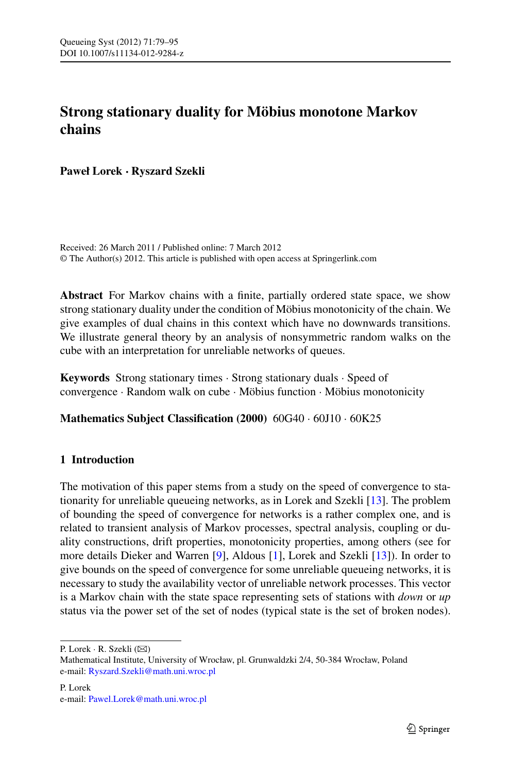# **Strong stationary duality for Möbius monotone Markov chains**

**Paweł Lorek · Ryszard Szekli**

Received: 26 March 2011 / Published online: 7 March 2012 © The Author(s) 2012. This article is published with open access at Springerlink.com

**Abstract** For Markov chains with a finite, partially ordered state space, we show strong stationary duality under the condition of Möbius monotonicity of the chain. We give examples of dual chains in this context which have no downwards transitions. We illustrate general theory by an analysis of nonsymmetric random walks on the cube with an interpretation for unreliable networks of queues.

**Keywords** Strong stationary times · Strong stationary duals · Speed of convergence · Random walk on cube · Möbius function · Möbius monotonicity

**Mathematics Subject Classification (2000)** 60G40 · 60J10 · 60K25

# **1 Introduction**

The motivation of this paper stems from a study on the speed of convergence to stationarity for unreliable queueing networks, as in Lorek and Szekli [\[13](#page-16-0)]. The problem of bounding the speed of convergence for networks is a rather complex one, and is related to transient analysis of Markov processes, spectral analysis, coupling or duality constructions, drift properties, monotonicity properties, among others (see for more details Dieker and Warren [\[9](#page-16-1)], Aldous [\[1](#page-16-2)], Lorek and Szekli [[13\]](#page-16-0)). In order to give bounds on the speed of convergence for some unreliable queueing networks, it is necessary to study the availability vector of unreliable network processes. This vector is a Markov chain with the state space representing sets of stations with *down* or *up* status via the power set of the set of nodes (typical state is the set of broken nodes).

P. Lorek  $\cdot$  R. Szekli ( $\boxtimes$ )

Mathematical Institute, University of Wrocław, pl. Grunwaldzki 2/4, 50-384 Wrocław, Poland e-mail: [Ryszard.Szekli@math.uni.wroc.pl](mailto:Ryszard.Szekli@math.uni.wroc.pl)

P. Lorek e-mail: [Pawel.Lorek@math.uni.wroc.pl](mailto:Pawel.Lorek@math.uni.wroc.pl)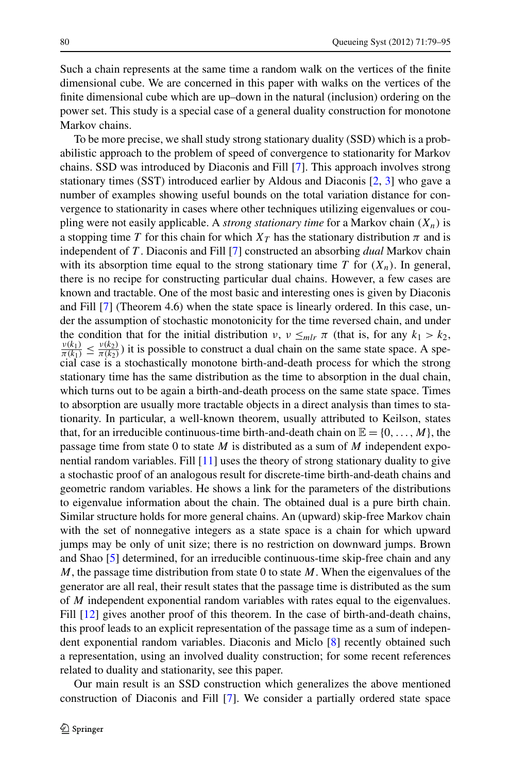Such a chain represents at the same time a random walk on the vertices of the finite dimensional cube. We are concerned in this paper with walks on the vertices of the finite dimensional cube which are up–down in the natural (inclusion) ordering on the power set. This study is a special case of a general duality construction for monotone Markov chains.

To be more precise, we shall study strong stationary duality (SSD) which is a probabilistic approach to the problem of speed of convergence to stationarity for Markov chains. SSD was introduced by Diaconis and Fill [[7\]](#page-16-3). This approach involves strong stationary times (SST) introduced earlier by Aldous and Diaconis [[2,](#page-16-4) [3\]](#page-16-5) who gave a number of examples showing useful bounds on the total variation distance for convergence to stationarity in cases where other techniques utilizing eigenvalues or coupling were not easily applicable. A *strong stationary time* for a Markov chain *(Xn)* is a stopping time *T* for this chain for which  $X_T$  has the stationary distribution  $\pi$  and is independent of *T* . Diaconis and Fill [\[7](#page-16-3)] constructed an absorbing *dual* Markov chain with its absorption time equal to the strong stationary time  $T$  for  $(X_n)$ . In general, there is no recipe for constructing particular dual chains. However, a few cases are known and tractable. One of the most basic and interesting ones is given by Diaconis and Fill [[7\]](#page-16-3) (Theorem 4.6) when the state space is linearly ordered. In this case, under the assumption of stochastic monotonicity for the time reversed chain, and under the condition that for the initial distribution *ν*,  $v \leq m \ln \pi$  (that is, for any  $k_1 > k_2$ ,  $\frac{v(k_1)}{k_1} < \frac{v(k_2)}{k_2}$ ) it is possible to construct a dual chain on the same state space. A spe- $\frac{v(k_1)}{\pi(k_1)} \leq \frac{v(k_2)}{\pi(k_2)}$ ) it is possible to construct a dual chain on the same state space. A special case is a stochastically monotone birth-and-death process for which the strong stationary time has the same distribution as the time to absorption in the dual chain, which turns out to be again a birth-and-death process on the same state space. Times to absorption are usually more tractable objects in a direct analysis than times to stationarity. In particular, a well-known theorem, usually attributed to Keilson, states that, for an irreducible continuous-time birth-and-death chain on  $\mathbb{E} = \{0, \ldots, M\}$ , the passage time from state 0 to state *M* is distributed as a sum of *M* independent exponential random variables. Fill [\[11](#page-16-6)] uses the theory of strong stationary duality to give a stochastic proof of an analogous result for discrete-time birth-and-death chains and geometric random variables. He shows a link for the parameters of the distributions to eigenvalue information about the chain. The obtained dual is a pure birth chain. Similar structure holds for more general chains. An (upward) skip-free Markov chain with the set of nonnegative integers as a state space is a chain for which upward jumps may be only of unit size; there is no restriction on downward jumps. Brown and Shao [[5\]](#page-16-7) determined, for an irreducible continuous-time skip-free chain and any *M*, the passage time distribution from state 0 to state *M*. When the eigenvalues of the generator are all real, their result states that the passage time is distributed as the sum of *M* independent exponential random variables with rates equal to the eigenvalues. Fill [\[12](#page-16-8)] gives another proof of this theorem. In the case of birth-and-death chains, this proof leads to an explicit representation of the passage time as a sum of independent exponential random variables. Diaconis and Miclo [\[8](#page-16-9)] recently obtained such a representation, using an involved duality construction; for some recent references related to duality and stationarity, see this paper.

Our main result is an SSD construction which generalizes the above mentioned construction of Diaconis and Fill [[7\]](#page-16-3). We consider a partially ordered state space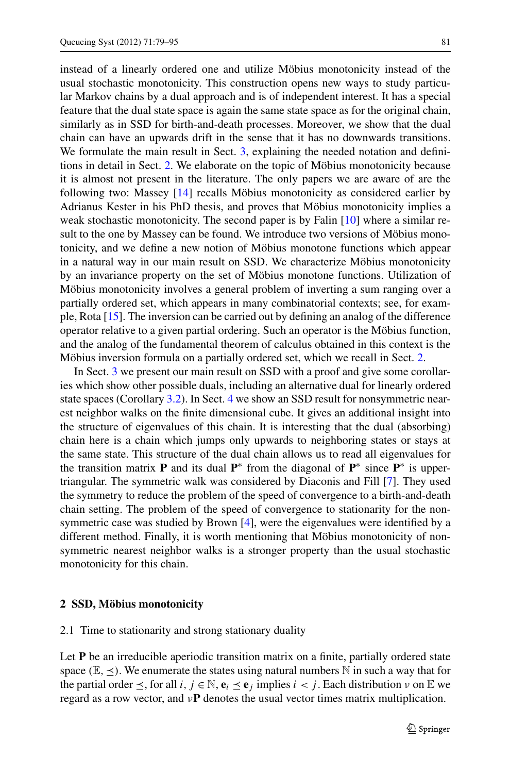instead of a linearly ordered one and utilize Möbius monotonicity instead of the usual stochastic monotonicity. This construction opens new ways to study particular Markov chains by a dual approach and is of independent interest. It has a special feature that the dual state space is again the same state space as for the original chain, similarly as in SSD for birth-and-death processes. Moreover, we show that the dual chain can have an upwards drift in the sense that it has no downwards transitions. We formulate the main result in Sect. [3](#page-7-0), explaining the needed notation and definitions in detail in Sect. [2.](#page-2-0) We elaborate on the topic of Möbius monotonicity because it is almost not present in the literature. The only papers we are aware of are the following two: Massey [[14\]](#page-16-10) recalls Möbius monotonicity as considered earlier by Adrianus Kester in his PhD thesis, and proves that Möbius monotonicity implies a weak stochastic monotonicity. The second paper is by Falin [[10\]](#page-16-11) where a similar result to the one by Massey can be found. We introduce two versions of Möbius monotonicity, and we define a new notion of Möbius monotone functions which appear in a natural way in our main result on SSD. We characterize Möbius monotonicity by an invariance property on the set of Möbius monotone functions. Utilization of Möbius monotonicity involves a general problem of inverting a sum ranging over a partially ordered set, which appears in many combinatorial contexts; see, for example, Rota [[15](#page-16-12)]. The inversion can be carried out by defining an analog of the difference operator relative to a given partial ordering. Such an operator is the Möbius function, and the analog of the fundamental theorem of calculus obtained in this context is the Möbius inversion formula on a partially ordered set, which we recall in Sect. [2.](#page-2-0)

In Sect. [3](#page-7-0) we present our main result on SSD with a proof and give some corollaries which show other possible duals, including an alternative dual for linearly ordered state spaces (Corollary [3.2](#page-9-0)). In Sect. [4](#page-10-0) we show an SSD result for nonsymmetric nearest neighbor walks on the finite dimensional cube. It gives an additional insight into the structure of eigenvalues of this chain. It is interesting that the dual (absorbing) chain here is a chain which jumps only upwards to neighboring states or stays at the same state. This structure of the dual chain allows us to read all eigenvalues for the transition matrix **P** and its dual **P**<sup>∗</sup> from the diagonal of **P**<sup>∗</sup> since **P**<sup>∗</sup> is uppertriangular. The symmetric walk was considered by Diaconis and Fill [\[7](#page-16-3)]. They used the symmetry to reduce the problem of the speed of convergence to a birth-and-death chain setting. The problem of the speed of convergence to stationarity for the nonsymmetric case was studied by Brown [[4\]](#page-16-13), were the eigenvalues were identified by a different method. Finally, it is worth mentioning that Möbius monotonicity of nonsymmetric nearest neighbor walks is a stronger property than the usual stochastic monotonicity for this chain.

#### <span id="page-2-0"></span>**2 SSD, Möbius monotonicity**

#### 2.1 Time to stationarity and strong stationary duality

Let **P** be an irreducible aperiodic transition matrix on a finite, partially ordered state space  $(\mathbb{E}, \le)$ . We enumerate the states using natural numbers N in such a way that for the partial order  $\leq$ , for all *i*,  $j \in \mathbb{N}$ ,  $\mathbf{e}_i \leq \mathbf{e}_j$  implies  $i < j$ . Each distribution  $\nu$  on  $\mathbb{E}$  we regard as a row vector, and *ν***P** denotes the usual vector times matrix multiplication.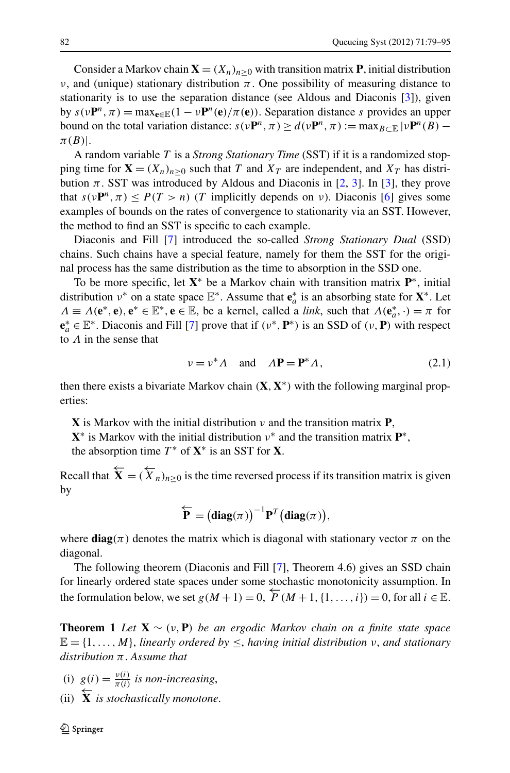Consider a Markov chain  $\mathbf{X} = (X_n)_{n>0}$  with transition matrix **P**, initial distribution *ν*, and (unique) stationary distribution  $π$ . One possibility of measuring distance to stationarity is to use the separation distance (see Aldous and Diaconis [\[3\]](#page-16-5)), given by  $s(\nu P^n, \pi) = \max_{e \in \mathbb{E}} (1 - \nu P^n(e)/\pi(e))$ . Separation distance *s* provides an upper bound on the total variation distance:  $s(\nu P^n, \pi) \ge d(\nu P^n, \pi) := \max_{B \subset \mathbb{R}} |\nu P^n(B) - \pi|$ *π(B)*|.

A random variable *T* is a *Strong Stationary Time* (SST) if it is a randomized stopping time for  $\mathbf{X} = (X_n)_{n>0}$  such that *T* and  $X_T$  are independent, and  $X_T$  has distribution  $\pi$ . SST was introduced by Aldous and Diaconis in [[2,](#page-16-4) [3](#page-16-5)]. In [\[3](#page-16-5)], they prove that  $s(\nu P^n, \pi) \leq P(T > n)$  (*T* implicitly depends on *ν*). Diaconis [\[6](#page-16-14)] gives some examples of bounds on the rates of convergence to stationarity via an SST. However, the method to find an SST is specific to each example.

Diaconis and Fill [[7\]](#page-16-3) introduced the so-called *Strong Stationary Dual* (SSD) chains. Such chains have a special feature, namely for them the SST for the original process has the same distribution as the time to absorption in the SSD one.

To be more specific, let **X**<sup>∗</sup> be a Markov chain with transition matrix **P**∗, initial distribution  $v^*$  on a state space  $\mathbb{E}^*$ . Assume that  $e_a^*$  is an absorbing state for  $X^*$ . Let  $\Lambda \equiv \Lambda(e^*, e), e^* \in \mathbb{E}^*, e \in \mathbb{E}$ , be a kernel, called a *link*, such that  $\Lambda(e^*_a, \cdot) = \pi$  for  $\mathbf{e}_a^* \in \mathbb{E}^*$ . Diaconis and Fill [[7\]](#page-16-3) prove that if  $(\nu^*, \mathbf{P}^*)$  is an SSD of  $(\nu, \mathbf{P})$  with respect to *Λ* in the sense that

<span id="page-3-1"></span>
$$
\nu = \nu^* \Lambda \quad \text{and} \quad \Lambda \mathbf{P} = \mathbf{P}^* \Lambda, \tag{2.1}
$$

then there exists a bivariate Markov chain *(***X***,***X**∗*)* with the following marginal properties:

**X** is Markov with the initial distribution *ν* and the transition matrix **P**,  $X^*$  is Markov with the initial distribution  $\nu^*$  and the transition matrix  $P^*$ ,

the absorption time  $T^*$  of  $X^*$  is an SST for X.

Recall that  $\overleftarrow{\mathbf{X}} = (\overleftarrow{X}_n)_{n \geq 0}$  is the time reversed process if its transition matrix is given by

$$
\overleftarrow{\mathbf{P}} = \left(\mathbf{diag}(\pi)\right)^{-1} \mathbf{P}^T \left(\mathbf{diag}(\pi)\right),
$$

<span id="page-3-0"></span>where  $\text{diag}(\pi)$  denotes the matrix which is diagonal with stationary vector  $\pi$  on the diagonal.

The following theorem (Diaconis and Fill [\[7](#page-16-3)], Theorem 4.6) gives an SSD chain for linearly ordered state spaces under some stochastic monotonicity assumption. In the formulation below, we set  $g(M+1) = 0$ ,  $\overline{P}(M+1, \{1, \ldots, i\}) = 0$ , for all  $i \in \mathbb{E}$ .

**Theorem 1** *Let* **X** ∼ *(ν,***P***) be an ergodic Markov chain on a finite state space*  $\mathbb{E} = \{1, \ldots, M\}$ , *linearly ordered by*  $\leq$ , *having initial distribution ν*, *and stationary distribution π*. *Assume that*

- (i)  $g(i) = \frac{v(i)}{\pi(i)}$  *is non-increasing*,
- (ii)  $\overleftarrow{\mathbf{X}}$  *is stochastically monotone.*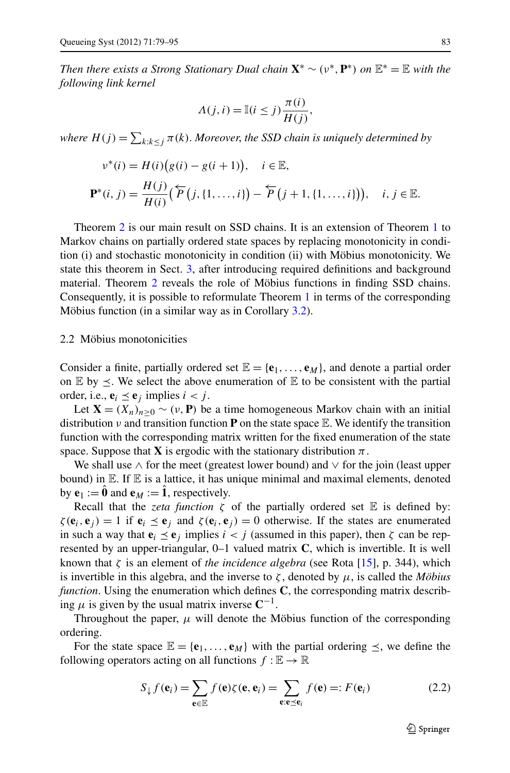*Then there exists a Strong Stationary Dual chain*  $\mathbf{X}^* \sim (\nu^*, \mathbf{P}^*)$  *on*  $\mathbb{E}^* = \mathbb{E}$  *with the following link kernel*

$$
\Lambda(j,i) = \mathbb{I}(i \leq j) \frac{\pi(i)}{H(j)},
$$

where  $H(j) = \sum_{k: k \leq j} \pi(k)$ . Moreover, the SSD chain is uniquely determined by

$$
\nu^*(i) = H(i) (g(i) - g(i+1)), \quad i \in \mathbb{E},
$$
  

$$
\mathbf{P}^*(i, j) = \frac{H(j)}{H(i)} (\overleftarrow{P} (j, \{1, ..., i\}) - \overleftarrow{P} (j+1, \{1, ..., i\})), \quad i, j \in \mathbb{E}.
$$

Theorem [2](#page-7-1) is our main result on SSD chains. It is an extension of Theorem [1](#page-3-0) to Markov chains on partially ordered state spaces by replacing monotonicity in condition (i) and stochastic monotonicity in condition (ii) with Möbius monotonicity. We state this theorem in Sect. [3,](#page-7-0) after introducing required definitions and background material. Theorem [2](#page-7-1) reveals the role of Möbius functions in finding SSD chains. Consequently, it is possible to reformulate Theorem [1](#page-3-0) in terms of the corresponding Möbius function (in a similar way as in Corollary [3.2](#page-9-0)).

## 2.2 Möbius monotonicities

Consider a finite, partially ordered set  $\mathbb{E} = \{\mathbf{e}_1, \dots, \mathbf{e}_M\}$ , and denote a partial order on  $\mathbb E$  by  $\leq$ . We select the above enumeration of  $\mathbb E$  to be consistent with the partial order, i.e.,  $\mathbf{e}_i \leq \mathbf{e}_j$  implies  $i < j$ .

Let  $\mathbf{X} = (X_n)_{n>0} \sim (\nu, \mathbf{P})$  be a time homogeneous Markov chain with an initial distribution  $\nu$  and transition function **P** on the state space E. We identify the transition function with the corresponding matrix written for the fixed enumeration of the state space. Suppose that **X** is ergodic with the stationary distribution  $\pi$ .

We shall use  $\land$  for the meet (greatest lower bound) and  $\lor$  for the join (least upper bound) in  $E$ . If  $E$  is a lattice, it has unique minimal and maximal elements, denoted by  $e_1 := \hat{\mathbf{0}}$  and  $e_M := \hat{\mathbf{1}}$ , respectively.

Recall that the *zeta function*  $\zeta$  of the partially ordered set  $\mathbb E$  is defined by:  $\zeta(\mathbf{e}_i, \mathbf{e}_j) = 1$  if  $\mathbf{e}_i \leq \mathbf{e}_j$  and  $\zeta(\mathbf{e}_i, \mathbf{e}_j) = 0$  otherwise. If the states are enumerated in such a way that  $\mathbf{e}_i \leq \mathbf{e}_j$  implies  $i < j$  (assumed in this paper), then  $\zeta$  can be represented by an upper-triangular, 0–1 valued matrix **C**, which is invertible. It is well known that *ζ* is an element of *the incidence algebra* (see Rota [\[15](#page-16-12)], p. 344), which is invertible in this algebra, and the inverse to  $\zeta$ , denoted by  $\mu$ , is called the *Möbius function*. Using the enumeration which defines **C**, the corresponding matrix describing  $\mu$  is given by the usual matrix inverse  $\mathbb{C}^{-1}$ .

Throughout the paper,  $\mu$  will denote the Möbius function of the corresponding ordering.

For the state space  $\mathbb{E} = {\mathbf{e}_1, \ldots, \mathbf{e}_M}$  with the partial ordering  $\leq$ , we define the following operators acting on all functions  $f : \mathbb{E} \to \mathbb{R}$ 

$$
S_{\downarrow} f(\mathbf{e}_i) = \sum_{\mathbf{e} \in \mathbb{E}} f(\mathbf{e}) \zeta(\mathbf{e}, \mathbf{e}_i) = \sum_{\mathbf{e}: \mathbf{e} \preceq \mathbf{e}_i} f(\mathbf{e}) =: F(\mathbf{e}_i)
$$
(2.2)

<span id="page-4-0"></span> $\mathcal{D}$  Springer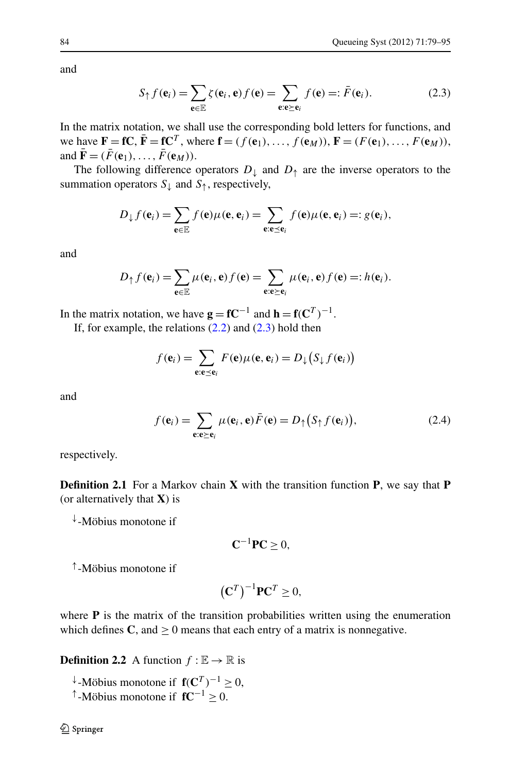and

<span id="page-5-0"></span>
$$
S_{\uparrow} f(\mathbf{e}_i) = \sum_{\mathbf{e} \in \mathbb{E}} \zeta(\mathbf{e}_i, \mathbf{e}) f(\mathbf{e}) = \sum_{\mathbf{e} : \mathbf{e} \succeq \mathbf{e}_i} f(\mathbf{e}) =: \bar{F}(\mathbf{e}_i). \tag{2.3}
$$

In the matrix notation, we shall use the corresponding bold letters for functions, and we have  $\mathbf{F} = \mathbf{f}\mathbf{C}, \, \bar{\mathbf{F}} = \mathbf{f}\mathbf{C}^T$ , where  $\mathbf{f} = (f(\mathbf{e}_1), \ldots, f(\mathbf{e}_M)), \, \mathbf{F} = (F(\mathbf{e}_1), \ldots, F(\mathbf{e}_M)),$ and  $\overline{\mathbf{F}} = (\overline{F}(\mathbf{e}_1), \ldots, \overline{F}(\mathbf{e}_M)).$ 

The following difference operators  $D_{\perp}$  and  $D_{\uparrow}$  are the inverse operators to the summation operators  $S_{\downarrow}$  and  $S_{\uparrow}$ , respectively,

$$
D_{\downarrow} f(\mathbf{e}_i) = \sum_{\mathbf{e} \in \mathbb{E}} f(\mathbf{e}) \mu(\mathbf{e}, \mathbf{e}_i) = \sum_{\mathbf{e}: \mathbf{e} \preceq \mathbf{e}_i} f(\mathbf{e}) \mu(\mathbf{e}, \mathbf{e}_i) =: g(\mathbf{e}_i),
$$

and

$$
D_{\uparrow} f(\mathbf{e}_i) = \sum_{\mathbf{e} \in \mathbb{E}} \mu(\mathbf{e}_i, \mathbf{e}) f(\mathbf{e}) = \sum_{\mathbf{e}: \mathbf{e} \succeq \mathbf{e}_i} \mu(\mathbf{e}_i, \mathbf{e}) f(\mathbf{e}) =: h(\mathbf{e}_i).
$$

In the matrix notation, we have  $\mathbf{g} = \mathbf{f} \mathbf{C}^{-1}$  and  $\mathbf{h} = \mathbf{f}(\mathbf{C}^T)^{-1}$ .

If, for example, the relations  $(2.2)$  $(2.2)$  $(2.2)$  and  $(2.3)$  hold then

<span id="page-5-1"></span>
$$
f(\mathbf{e}_i) = \sum_{\mathbf{e}: \mathbf{e} \preceq \mathbf{e}_i} F(\mathbf{e}) \mu(\mathbf{e}, \mathbf{e}_i) = D_{\downarrow} (S_{\downarrow} f(\mathbf{e}_i))
$$

and

$$
f(\mathbf{e}_i) = \sum_{\mathbf{e}: \mathbf{e}_i \ge \mathbf{e}_i} \mu(\mathbf{e}_i, \mathbf{e}) \bar{F}(\mathbf{e}) = D_{\uparrow} (S_{\uparrow} f(\mathbf{e}_i)), \tag{2.4}
$$

respectively.

**Definition 2.1** For a Markov chain **X** with the transition function **P**, we say that **P** (or alternatively that **X**) is

<sup>↓</sup>-Möbius monotone if

$$
\mathbf{C}^{-1}\mathbf{P}\mathbf{C}\geq 0,
$$

<sup>↑</sup>-Möbius monotone if

$$
\left(\mathbf{C}^T\right)^{-1}\mathbf{P}\mathbf{C}^T \geq 0,
$$

where **P** is the matrix of the transition probabilities written using the enumeration which defines  $C$ , and  $\geq 0$  means that each entry of a matrix is nonnegative.

**Definition 2.2** A function  $f : \mathbb{E} \to \mathbb{R}$  is

- <sup>↓</sup>-Möbius monotone if **f***(***C***<sup>T</sup> )*−<sup>1</sup> ≥ 0,
- <sup>↑</sup>-Möbius monotone if **fC**−<sup>1</sup> ≥ 0.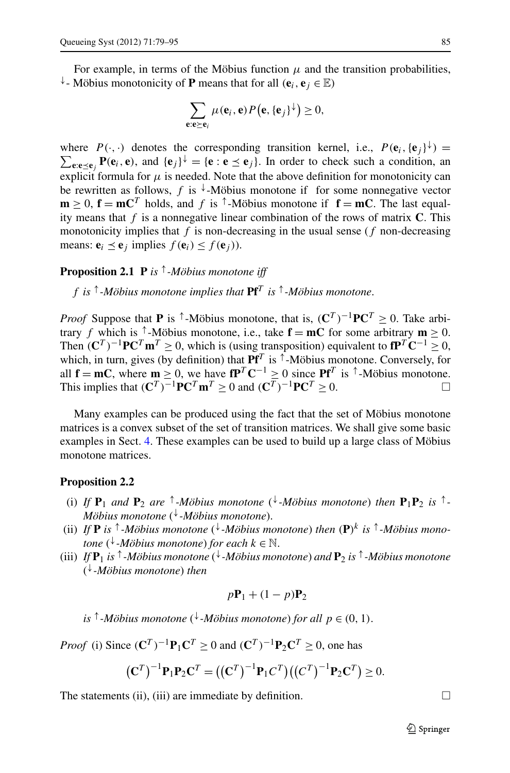For example, in terms of the Möbius function  $\mu$  and the transition probabilities, <sup>↓</sup>- Möbius monotonicity of **P** means that for all *(***e***i,* **e***<sup>j</sup>* ∈ E*)*

$$
\sum_{\mathbf{e}:\mathbf{e}\succeq\mathbf{e}_i}\mu(\mathbf{e}_i,\mathbf{e})P(\mathbf{e},\{\mathbf{e}_j\}^{\downarrow})\geq 0,
$$

where  $P(\cdot, \cdot)$  denotes the corresponding transition kernel, i.e.,  $P(\mathbf{e}_i, {\{\mathbf{e}_j\}}^{\downarrow}) =$  $\sum_{e: e \leq e_j} P(e_i, e)$ , and  $\{e_j\}^{\downarrow} = \{e: e \leq e_j\}$ . In order to check such a condition, an explicit formula for  $\mu$  is needed. Note that the above definition for monotonicity can be rewritten as follows,  $f$  is  $\sqrt[k]{a}$ -Möbius monotone if for some nonnegative vector  $\mathbf{m} > 0$ ,  $\mathbf{f} = \mathbf{m} \mathbf{C}^T$  holds, and f is  $\uparrow$ -Möbius monotone if  $\mathbf{f} = \mathbf{m} \mathbf{C}$ . The last equality means that *f* is a nonnegative linear combination of the rows of matrix **C**. This monotonicity implies that  $f$  is non-decreasing in the usual sense  $(f$  non-decreasing means:  $\mathbf{e}_i \leq \mathbf{e}_j$  implies  $f(\mathbf{e}_i) \leq f(\mathbf{e}_j)$ ).

# **Proposition 2.1 P** *is* <sup>↑</sup>*-Möbius monotone iff*

*f is* <sup>↑</sup>*-Möbius monotone implies that* **Pf***<sup>T</sup> is* <sup>↑</sup>*-Möbius monotone*.

*Proof* Suppose that **P** is  $\uparrow$ -Möbius monotone, that is,  $(C^T)^{-1}PC^T \ge 0$ . Take arbitrary *f* which is <sup> $\uparrow$ </sup>-Möbius monotone, i.e., take  $\mathbf{f} = \mathbf{m}C$  for some arbitrary  $\mathbf{m} \geq 0$ . Then  $(C^T)^{-1}P C^T m^T \ge 0$ , which is (using transposition) equivalent to  $P^T C^{-1} \ge 0$ , which, in turn, gives (by definition) that  $\mathbf{Pf}^T$  is  $\uparrow$ -Möbius monotone. Conversely, for all  $f = mC$ , where  $m \ge 0$ , we have  $fP^T C^{-1} \ge 0$  since  $Pf^T$  is  $\uparrow$ -Möbius monotone. This implies that  $(\mathbf{C}^T)^{-1} \mathbf{P} \mathbf{C}^T \mathbf{m}^T > 0$  and  $(\mathbf{C}^T)^{-1} \mathbf{P} \mathbf{C}^T > 0$ .

Many examples can be produced using the fact that the set of Möbius monotone matrices is a convex subset of the set of transition matrices. We shall give some basic examples in Sect. [4](#page-10-0). These examples can be used to build up a large class of Möbius monotone matrices.

# **Proposition 2.2**

- (i) If  $P_1$  *and*  $P_2$  *are*  $\uparrow$ -*Möbius monotone* ( $\downarrow$ -*Möbius monotone*) *then*  $P_1P_2$  *is*  $\uparrow$ -*Möbius monotone* ( <sup>↓</sup>*-Möbius monotone*).
- (ii) If **P** is  $\uparrow$ -Möbius monotone ( $\downarrow$ -Möbius monotone) then (P)<sup>k</sup> is  $\uparrow$ -Möbius mono*tone* ( <sup>↓</sup>*-Möbius monotone*) *for each k* ∈ N.
- (iii) *If* **P**<sup>1</sup> *is* <sup>↑</sup>*-Möbius monotone* ( <sup>↓</sup>*-Möbius monotone*) *and* **P**<sup>2</sup> *is* <sup>↑</sup>*-Möbius monotone* ( <sup>↓</sup>*-Möbius monotone*) *then*

$$
p\mathbf{P}_1 + (1-p)\mathbf{P}_2
$$

 $i$ *s*  $\uparrow$  -*Möbius monotone* ( $\downarrow$ -*Möbius monotone*) *for all*  $p \in (0, 1)$ .

*Proof* (i) Since  $(C^T)^{-1}P_1C^T \ge 0$  and  $(C^T)^{-1}P_2C^T \ge 0$ , one has

$$
(\mathbf{C}^T)^{-1} \mathbf{P}_1 \mathbf{P}_2 \mathbf{C}^T = ((\mathbf{C}^T)^{-1} \mathbf{P}_1 \mathbf{C}^T)((\mathbf{C}^T)^{-1} \mathbf{P}_2 \mathbf{C}^T) \ge 0.
$$

The statements (ii), (iii) are immediate by definition.  $\Box$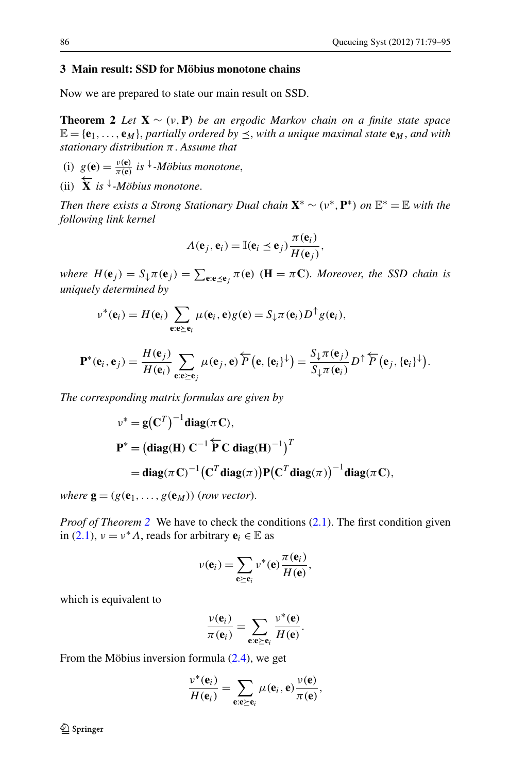# <span id="page-7-1"></span><span id="page-7-0"></span>**3 Main result: SSD for Möbius monotone chains**

Now we are prepared to state our main result on SSD.

**Theorem 2** *Let*  $X \sim (v, P)$  *be an ergodic Markov chain on a finite state space*  $\mathbb{E} = {\bf{e}_1, \ldots, {\bf{e}_M}}$ , *partially ordered by*  $\leq$ , *with a unique maximal state*  ${\bf{e}_M}$ *, and with stationary distribution π*. *Assume that*

- (i)  $g(\mathbf{e}) = \frac{v(\mathbf{e})}{\pi(\mathbf{e})}$  *is*  $\downarrow$ -*Möbius monotone*,
- (ii) ←− **X** *is* <sup>↓</sup>*-Möbius monotone*.

*Then there exists a Strong Stationary Dual chain*  $X^* \sim (\nu^*, P^*)$  *on*  $\mathbb{E}^* = \mathbb{E}$  *with the following link kernel*

$$
\Lambda(\mathbf{e}_j, \mathbf{e}_i) = \mathbb{I}(\mathbf{e}_i \leq \mathbf{e}_j) \frac{\pi(\mathbf{e}_i)}{H(\mathbf{e}_j)},
$$

where  $H(\mathbf{e}_j) = S_{\downarrow} \pi(\mathbf{e}_j) = \sum_{\mathbf{e}:\mathbf{e}\preceq\mathbf{e}_j} \pi(\mathbf{e})$  ( $\mathbf{H} = \pi \mathbf{C}$ ). Moreover, the SSD chain is *uniquely determined by*

$$
\nu^*(\mathbf{e}_i) = H(\mathbf{e}_i) \sum_{\mathbf{e} : \mathbf{e} \succeq \mathbf{e}_i} \mu(\mathbf{e}_i, \mathbf{e}) g(\mathbf{e}) = S_{\downarrow} \pi(\mathbf{e}_i) D^{\uparrow} g(\mathbf{e}_i),
$$

$$
\mathbf{P}^*(\mathbf{e}_i,\mathbf{e}_j)=\frac{H(\mathbf{e}_j)}{H(\mathbf{e}_i)}\sum_{\mathbf{e}_i\mathbf{e}_j\geq\mathbf{e}_j}\mu(\mathbf{e}_j,\mathbf{e})\overleftarrow{P}(\mathbf{e},\{\mathbf{e}_i\}^{\downarrow})=\frac{S_{\downarrow}\pi(\mathbf{e}_j)}{S_{\downarrow}\pi(\mathbf{e}_i)}D^{\uparrow}\overleftarrow{P}(\mathbf{e}_j,\{\mathbf{e}_i\}^{\downarrow}).
$$

*The corresponding matrix formulas are given by*

$$
\nu^* = g(C^T)^{-1} \text{diag}(\pi C),
$$
  
\n
$$
P^* = (\text{diag}(H) C^{-1} \widetilde{P} C \text{ diag}(H)^{-1})^T
$$
  
\n
$$
= \text{diag}(\pi C)^{-1} (C^T \text{diag}(\pi)) P(C^T \text{diag}(\pi))^{-1} \text{diag}(\pi C),
$$

*where*  $\mathbf{g} = (g(\mathbf{e}_1, \ldots, g(\mathbf{e}_M))$  (*row vector*).

*Proof of Theorem* [2](#page-7-1) We have to check the conditions ([2.1](#page-3-1)). The first condition given in [\(2.1\)](#page-3-1),  $\nu = \nu^* A$ , reads for arbitrary  $\mathbf{e}_i \in \mathbb{E}$  as

$$
\nu(\mathbf{e}_i) = \sum_{\mathbf{e} \succeq \mathbf{e}_i} \nu^*(\mathbf{e}) \frac{\pi(\mathbf{e}_i)}{H(\mathbf{e})},
$$

which is equivalent to

$$
\frac{v(\mathbf{e}_i)}{\pi(\mathbf{e}_i)} = \sum_{\mathbf{e}: \mathbf{e} \succeq \mathbf{e}_i} \frac{v^*(\mathbf{e})}{H(\mathbf{e})}.
$$

From the Möbius inversion formula ([2.4](#page-5-1)), we get

$$
\frac{v^*(\mathbf{e}_i)}{H(\mathbf{e}_i)} = \sum_{\mathbf{e}:\mathbf{e}\succeq \mathbf{e}_i} \mu(\mathbf{e}_i, \mathbf{e}) \frac{v(\mathbf{e})}{\pi(\mathbf{e})},
$$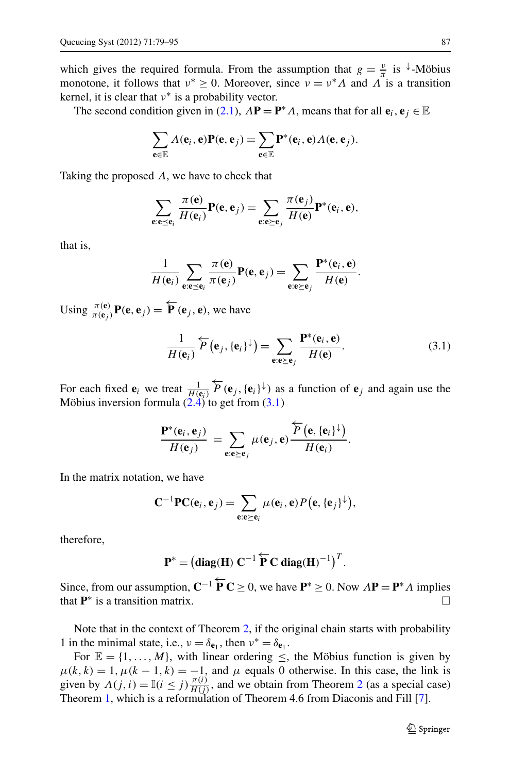which gives the required formula. From the assumption that  $g = \frac{v}{\pi}$  is <sup> $\downarrow$ </sup>-Möbius monotone, it follows that  $v^* \geq 0$ . Moreover, since  $v = v^* A$  and  $\Lambda$  is a transition kernel, it is clear that *ν*<sup>∗</sup> is a probability vector.

The second condition given in ([2.1](#page-3-1)),  $\Lambda \mathbf{P} = \mathbf{P}^* \Lambda$ , means that for all  $\mathbf{e}_i, \mathbf{e}_j \in \mathbb{E}$ 

$$
\sum_{\mathbf{e}\in\mathbb{E}}\Lambda(\mathbf{e}_i,\mathbf{e})\mathbf{P}(\mathbf{e},\mathbf{e}_j)=\sum_{\mathbf{e}\in\mathbb{E}}\mathbf{P}^*(\mathbf{e}_i,\mathbf{e})\Lambda(\mathbf{e},\mathbf{e}_j).
$$

Taking the proposed *Λ*, we have to check that

$$
\sum_{\mathbf{e}: \mathbf{e} \preceq \mathbf{e}_i} \frac{\pi(\mathbf{e})}{H(\mathbf{e}_i)} \mathbf{P}(\mathbf{e}, \mathbf{e}_j) = \sum_{\mathbf{e}: \mathbf{e} \succeq \mathbf{e}_j} \frac{\pi(\mathbf{e}_j)}{H(\mathbf{e})} \mathbf{P}^*(\mathbf{e}_i, \mathbf{e}),
$$

that is,

<span id="page-8-0"></span>
$$
\frac{1}{H(\mathbf{e}_i)}\sum_{\mathbf{e}:\mathbf{e}\preceq\mathbf{e}_i}\frac{\pi(\mathbf{e})}{\pi(\mathbf{e}_j)}\mathbf{P}(\mathbf{e},\mathbf{e}_j)=\sum_{\mathbf{e}:\mathbf{e}\succeq\mathbf{e}_j}\frac{\mathbf{P}^*(\mathbf{e}_i,\mathbf{e})}{H(\mathbf{e})}.
$$

Using  $\frac{\pi(\mathbf{e})}{\pi(\mathbf{e}_j)} \mathbf{P}(\mathbf{e}, \mathbf{e}_j) = \overleftarrow{\mathbf{P}}(\mathbf{e}_j, \mathbf{e})$ , we have

$$
\frac{1}{H(\mathbf{e}_i)}\overleftarrow{P}(\mathbf{e}_j, {\{\mathbf{e}_i\}}^\downarrow) = \sum_{\mathbf{e}: \mathbf{e}\succeq \mathbf{e}_j} \frac{\mathbf{P}^*(\mathbf{e}_i, \mathbf{e})}{H(\mathbf{e})}.
$$
(3.1)

For each fixed  $\mathbf{e}_i$  we treat  $\frac{1}{H(\mathbf{e}_i)}$  $\overleftarrow{P}$  (**e**<sub>*j*</sub>, {**e**<sub>*i*</sub>}↓) as a function of **e**<sub>*j*</sub> and again use the Möbius inversion formula  $(2.4)$  to get from  $(3.1)$ 

$$
\frac{\mathbf{P}^*(\mathbf{e}_i,\mathbf{e}_j)}{H(\mathbf{e}_j)} = \sum_{\mathbf{e}:\mathbf{e}\geq \mathbf{e}_j} \mu(\mathbf{e}_j,\mathbf{e}) \frac{\overleftarrow{P}(\mathbf{e},\{\mathbf{e}_i\}^{\downarrow})}{H(\mathbf{e}_i)}.
$$

In the matrix notation, we have

$$
\mathbf{C}^{-1}\mathbf{P}\mathbf{C}(\mathbf{e}_i,\mathbf{e}_j)=\sum_{\mathbf{e}:\mathbf{e}\succeq\mathbf{e}_i}\mu(\mathbf{e}_i,\mathbf{e})P(\mathbf{e},\{\mathbf{e}_j\}^{\downarrow}),
$$

therefore,

$$
\mathbf{P}^* = \left(\mathbf{diag}(\mathbf{H}) \ \mathbf{C}^{-1} \ \overleftarrow{\mathbf{P}} \ \mathbf{C} \ \mathbf{diag}(\mathbf{H})^{-1}\right)^T.
$$

Since, from our assumption,  $C^{-1} \overleftarrow{P} C \ge 0$ , we have  $P^* \ge 0$ . Now  $\Lambda P = P^* \Lambda$  implies that  $\mathbf{P}^*$  is a transition matrix.

Note that in the context of Theorem [2,](#page-7-1) if the original chain starts with probability 1 in the minimal state, i.e.,  $v = \delta_{\mathbf{e}_1}$ , then  $v^* = \delta_{\mathbf{e}_1}$ .

For  $\mathbb{E} = \{1, \ldots, M\}$ , with linear ordering  $\leq$ , the Möbius function is given by  $\mu(k,k) = 1, \mu(k-1,k) = -1$ , and  $\mu$  equals 0 otherwise. In this case, the link is given by  $\Lambda(j, i) = \mathbb{I}(i \leq j) \frac{\pi(i)}{H(j)}$ , and we obtain from Theorem [2](#page-7-1) (as a special case) Theorem [1](#page-3-0), which is a reformulation of Theorem 4.6 from Diaconis and Fill [[7\]](#page-16-3).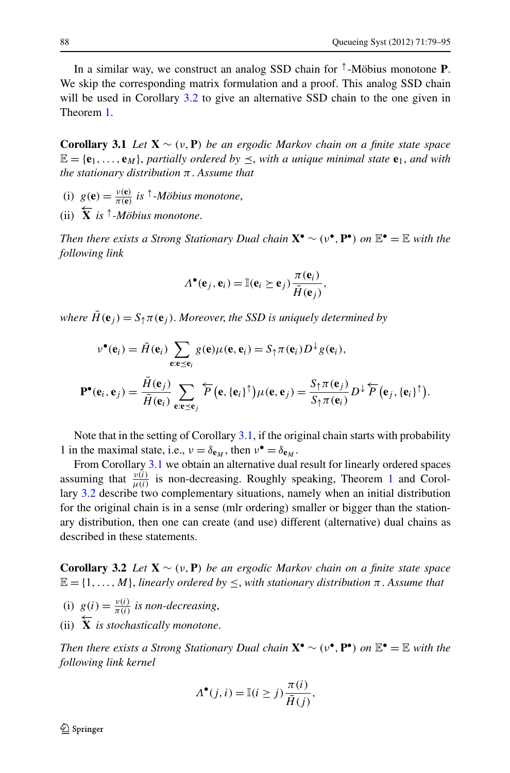<span id="page-9-1"></span>In a similar way, we construct an analog SSD chain for <sup>↑</sup>-Möbius monotone **P**. We skip the corresponding matrix formulation and a proof. This analog SSD chain will be used in Corollary [3.2](#page-9-0) to give an alternative SSD chain to the one given in Theorem [1](#page-3-0).

**Corollary 3.1** *Let* **X** ∼ *(ν,***P***) be an ergodic Markov chain on a finite state space*  $\mathbb{E} = {\bf{e}_1, \ldots, {\bf{e}_M}}$ , partially ordered by  $\leq$ , with a unique minimal state  ${\bf{e}_1}$ , and with *the stationary distribution π*. *Assume that*

- (i)  $g(\mathbf{e}) = \frac{v(\mathbf{e})}{\pi(\mathbf{e})}$  *is*  $\uparrow$ *-Möbius monotone*,
- (ii) ←− **X** *is* <sup>↑</sup>*-Möbius monotone*.

*Then there exists a Strong Stationary Dual chain* **X**• ∼ *(ν*•*,***P**•*) on* E• = E *with the following link*

$$
\Lambda^{\bullet}(\mathbf{e}_j, \mathbf{e}_i) = \mathbb{I}(\mathbf{e}_i \succeq \mathbf{e}_j) \frac{\pi(\mathbf{e}_i)}{\bar{H}(\mathbf{e}_j)},
$$

*where*  $\bar{H}(\mathbf{e}_i) = S_{\uparrow} \pi(\mathbf{e}_i)$ . *Moreover*, the SSD is uniquely determined by

$$
v^{\bullet}(\mathbf{e}_{i}) = \bar{H}(\mathbf{e}_{i}) \sum_{\mathbf{e}: \mathbf{e} \preceq \mathbf{e}_{i}} g(\mathbf{e}) \mu(\mathbf{e}, \mathbf{e}_{i}) = S_{\uparrow} \pi(\mathbf{e}_{i}) D^{\downarrow} g(\mathbf{e}_{i}),
$$
  

$$
\mathbf{P}^{\bullet}(\mathbf{e}_{i}, \mathbf{e}_{j}) = \frac{\bar{H}(\mathbf{e}_{j})}{\bar{H}(\mathbf{e}_{i})} \sum_{\mathbf{e}: \mathbf{e} \preceq \mathbf{e}_{j}} \overleftarrow{P}(\mathbf{e}, {\{\mathbf{e}_{i}\}}^{\uparrow}) \mu(\mathbf{e}, \mathbf{e}_{j}) = \frac{S_{\uparrow} \pi(\mathbf{e}_{j})}{S_{\uparrow} \pi(\mathbf{e}_{i})} D^{\downarrow} \overleftarrow{P}(\mathbf{e}_{j}, {\{\mathbf{e}_{i}\}}^{\uparrow}).
$$

Note that in the setting of Corollary [3.1](#page-9-1), if the original chain starts with probability 1 in the maximal state, i.e.,  $v = \delta_{e_M}$ , then  $v^{\bullet} = \delta_{e_M}$ .

<span id="page-9-0"></span>From Corollary [3.1](#page-9-1) we obtain an alternative dual result for linearly ordered spaces assuming that  $\frac{v(i)}{\mu(i)}$  is non-decreasing. Roughly speaking, Theorem [1](#page-3-0) and Corollary [3.2](#page-9-0) describe two complementary situations, namely when an initial distribution for the original chain is in a sense (mlr ordering) smaller or bigger than the stationary distribution, then one can create (and use) different (alternative) dual chains as described in these statements.

**Corollary 3.2** *Let* **X** ∼ *(ν,***P***) be an ergodic Markov chain on a finite state space*  $\mathbb{E} = \{1, \ldots, M\}$ , *linearly ordered by*  $\leq$ , *with stationary distribution*  $\pi$ . *Assume that* 

- (i)  $g(i) = \frac{v(i)}{\pi(i)}$  *is non-decreasing*,
- (ii)  $\overleftarrow{\mathbf{X}}$  *is stochastically monotone.*

*Then there exists a Strong Stationary Dual chain* **X**• ∼ *(ν*•*,***P**•*) on* E• = E *with the following link kernel*

$$
\Lambda^{\bullet}(j,i) = \mathbb{I}(i \ge j) \frac{\pi(i)}{\bar{H}(j)},
$$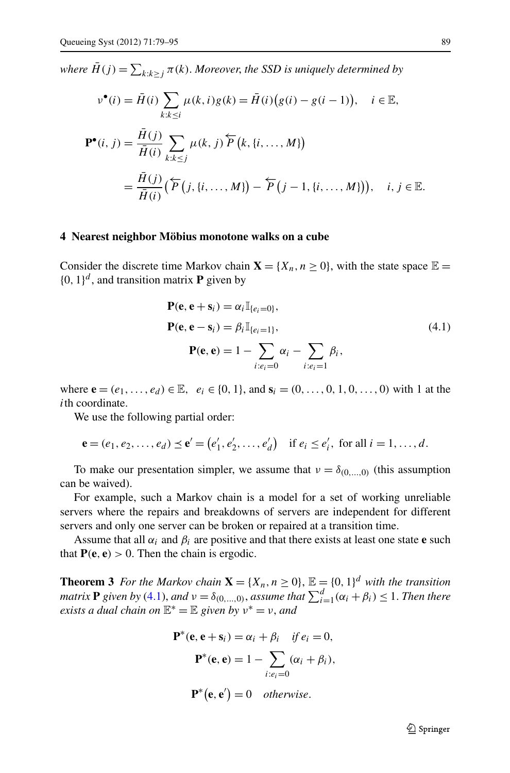<span id="page-10-0"></span> $where \ \bar{H}(j) = \sum_{k:k\geq j} \pi(k)$ . *Moreover, the SSD is uniquely determined by* 

$$
\nu^{\bullet}(i) = \overline{H}(i) \sum_{k:k \leq i} \mu(k, i) g(k) = \overline{H}(i) (g(i) - g(i-1)), \quad i \in \mathbb{E},
$$
  

$$
\mathbf{P}^{\bullet}(i, j) = \frac{\overline{H}(j)}{\overline{H}(i)} \sum_{k:k \leq j} \mu(k, j) \overline{P}(k, \{i, ..., M\})
$$
  

$$
= \frac{\overline{H}(j)}{\overline{H}(i)} (\overleftarrow{P}(j, \{i, ..., M\}) - \overleftarrow{P}(j-1, \{i, ..., M\})), \quad i, j \in \mathbb{E}.
$$

## <span id="page-10-1"></span>**4 Nearest neighbor Möbius monotone walks on a cube**

Consider the discrete time Markov chain  $X = \{X_n, n \ge 0\}$ , with the state space  $\mathbb{E} =$  $\{0, 1\}^d$ , and transition matrix **P** given by

$$
\mathbf{P}(\mathbf{e}, \mathbf{e} + \mathbf{s}_i) = \alpha_i \mathbb{I}_{\{e_i = 0\}},
$$
  
\n
$$
\mathbf{P}(\mathbf{e}, \mathbf{e} - \mathbf{s}_i) = \beta_i \mathbb{I}_{\{e_i = 1\}},
$$
  
\n
$$
\mathbf{P}(\mathbf{e}, \mathbf{e}) = 1 - \sum_{i:e_i = 0} \alpha_i - \sum_{i:e_i = 1} \beta_i,
$$
\n(4.1)

where  $\mathbf{e} = (e_1, \ldots, e_d) \in \mathbb{E}, \quad e_i \in \{0, 1\}, \text{ and } \mathbf{s}_i = (0, \ldots, 0, 1, 0, \ldots, 0) \text{ with } 1 \text{ at the }$ *i*th coordinate.

We use the following partial order:

$$
\mathbf{e} = (e_1, e_2, \dots, e_d) \le \mathbf{e}' = (e'_1, e'_2, \dots, e'_d) \quad \text{if } e_i \le e'_i, \text{ for all } i = 1, \dots, d.
$$

To make our presentation simpler, we assume that  $v = \delta_{(0,...,0)}$  (this assumption can be waived).

For example, such a Markov chain is a model for a set of working unreliable servers where the repairs and breakdowns of servers are independent for different servers and only one server can be broken or repaired at a transition time.

Assume that all  $\alpha_i$  and  $\beta_i$  are positive and that there exists at least one state **e** such that  $P(e, e) > 0$ . Then the chain is ergodic.

**Theorem 3** *For the Markov chain*  $\mathbf{X} = \{X_n, n \geq 0\}$ ,  $\mathbb{E} = \{0, 1\}^d$  *with the transition matrix* **P** given by ([4.1](#page-10-1)), and  $v = \delta_{(0,...,0)}$ , assume that  $\sum_{i=1}^{d} (\alpha_i + \beta_i) \leq 1$ . Then there *exists a dual chain on*  $\mathbb{E}^* = \mathbb{E}$  *given by*  $v^* = v$ *, and* 

$$
\mathbf{P}^*(\mathbf{e}, \mathbf{e} + \mathbf{s}_i) = \alpha_i + \beta_i \quad \text{if } e_i = 0,
$$
  

$$
\mathbf{P}^*(\mathbf{e}, \mathbf{e}) = 1 - \sum_{i: e_i = 0} (\alpha_i + \beta_i),
$$
  

$$
\mathbf{P}^*(\mathbf{e}, \mathbf{e}') = 0 \quad \text{otherwise.}
$$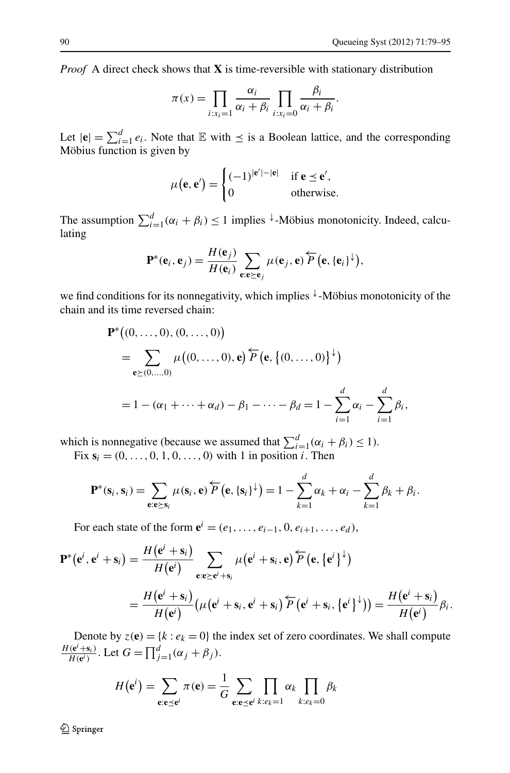*d*

*Proof* A direct check shows that **X** is time-reversible with stationary distribution

$$
\pi(x) = \prod_{i:x_i=1} \frac{\alpha_i}{\alpha_i + \beta_i} \prod_{i:x_i=0} \frac{\beta_i}{\alpha_i + \beta_i}.
$$

Let  $|\mathbf{e}| = \sum_{i=1}^{d} e_i$ . Note that  $\mathbb{E}$  with  $\preceq$  is a Boolean lattice, and the corresponding Möbius function is given by

$$
\mu(\mathbf{e}, \mathbf{e}') = \begin{cases} (-1)^{|\mathbf{e}'| - |\mathbf{e}|} & \text{if } \mathbf{e} \le \mathbf{e}', \\ 0 & \text{otherwise.} \end{cases}
$$

The assumption  $\sum_{i=1}^{d} (\alpha_i + \beta_i) \leq 1$  implies <sup> $\downarrow$ </sup>-Möbius monotonicity. Indeed, calculating

$$
\mathbf{P}^*(\mathbf{e}_i, \mathbf{e}_j) = \frac{H(\mathbf{e}_j)}{H(\mathbf{e}_i)} \sum_{\mathbf{e}: \mathbf{e} \geq \mathbf{e}_j} \mu(\mathbf{e}_j, \mathbf{e}) \overleftarrow{P} (\mathbf{e}, {\{\mathbf{e}_i\}}^{\downarrow}),
$$

we find conditions for its nonnegativity, which implies <sup>↓</sup>-Möbius monotonicity of the chain and its time reversed chain:

$$
\mathbf{P}^*((0, ..., 0), (0, ..., 0))
$$
  
=  $\sum_{\mathbf{e} \ge (0, ..., 0)} \mu((0, ..., 0), \mathbf{e}) \overleftarrow{P} (\mathbf{e}, \{(0, ..., 0)\}^{\downarrow})$   
=  $1 - (\alpha_1 + ... + \alpha_d) - \beta_1 - ... - \beta_d = 1 - \sum_{i=1}^d \alpha_i - \sum_{i=1}^d \beta_i,$ 

which is nonnegative (because we assumed that  $\sum_{i=1}^{d} (\alpha_i + \beta_i) \leq 1$ ).

Fix 
$$
s_i = (0, ..., 0, 1, 0, ..., 0)
$$
 with 1 in position *i*. Then

$$
\mathbf{P}^*(\mathbf{s}_i, \mathbf{s}_i) = \sum_{\mathbf{e}: \mathbf{e} \succeq \mathbf{s}_i} \mu(\mathbf{s}_i, \mathbf{e}) \overleftarrow{P} (\mathbf{e}, \{\mathbf{s}_i\}^{\downarrow}) = 1 - \sum_{k=1}^a \alpha_k + \alpha_i - \sum_{k=1}^a \beta_k + \beta_i.
$$

For each state of the form  $e^{i} = (e_1, \ldots, e_{i-1}, 0, e_{i+1}, \ldots, e_d)$ ,

$$
\mathbf{P}^*(\mathbf{e}^i, \mathbf{e}^i + \mathbf{s}_i) = \frac{H(\mathbf{e}^i + \mathbf{s}_i)}{H(\mathbf{e}^i)} \sum_{\mathbf{e}: \mathbf{e} \geq \mathbf{e}^i + \mathbf{s}_i} \mu(\mathbf{e}^i + \mathbf{s}_i, \mathbf{e}) \overleftarrow{P}(\mathbf{e}, {\{\mathbf{e}^i\}}^\downarrow)
$$
  
= 
$$
\frac{H(\mathbf{e}^i + \mathbf{s}_i)}{H(\mathbf{e}^i)} (\mu(\mathbf{e}^i + \mathbf{s}_i, \mathbf{e}^i + \mathbf{s}_i) \overleftarrow{P}(\mathbf{e}^i + \mathbf{s}_i, {\{\mathbf{e}^i\}}^\downarrow)) = \frac{H(\mathbf{e}^i + \mathbf{s}_i)}{H(\mathbf{e}^i)} \beta_i.
$$

Denote by  $z(\mathbf{e}) = \{k : e_k = 0\}$  the index set of zero coordinates. We shall compute *H*(**e**<sup>*i*</sup>)  $H(e^{i} + s_{i})$ . Let  $G = \prod_{j=1}^{d} (\alpha_{j} + \beta_{j})$ .

$$
H(\mathbf{e}^i) = \sum_{\mathbf{e}: \mathbf{e} \preceq \mathbf{e}^i} \pi(\mathbf{e}) = \frac{1}{G} \sum_{\mathbf{e}: \mathbf{e} \preceq \mathbf{e}^i} \prod_{k: e_k = 1} \alpha_k \prod_{k: e_k = 0} \beta_k
$$

 $\mathcal{D}$  Springer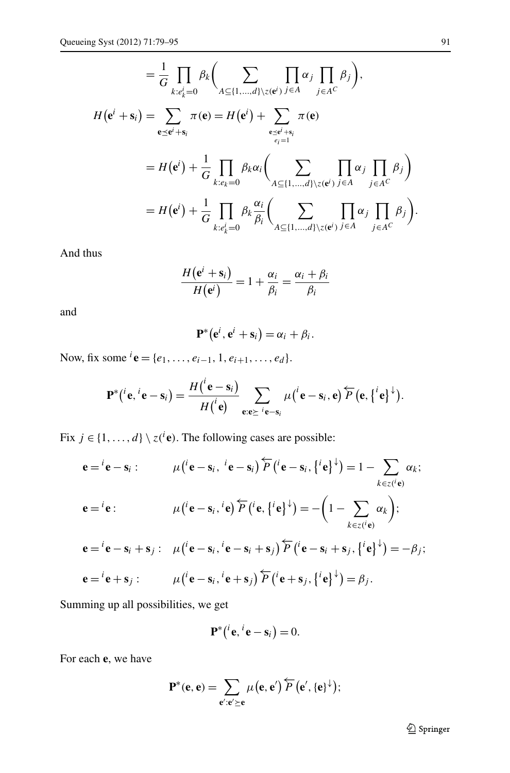$$
= \frac{1}{G} \prod_{k:e_k^i=0} \beta_k \Biggl(\sum_{A \subseteq \{1,\ldots,d\} \setminus z(e^i)} \prod_{j \in A} \alpha_j \prod_{j \in A} \beta_j \Biggr),
$$
  
\n
$$
H(e^i + s_i) = \sum_{e \preceq e^i + s_i} \pi(e) = H(e^i) + \sum_{e \preceq e^i + s_i} \pi(e)
$$
  
\n
$$
= H(e^i) + \frac{1}{G} \prod_{k:e_k=0} \beta_k \alpha_i \Biggl(\sum_{A \subseteq \{1,\ldots,d\} \setminus z(e^i)} \prod_{j \in A} \alpha_j \prod_{j \in A} \beta_j \Biggr)
$$
  
\n
$$
= H(e^i) + \frac{1}{G} \prod_{k:e_k^i=0} \beta_k \frac{\alpha_i}{\beta_i} \Biggl(\sum_{A \subseteq \{1,\ldots,d\} \setminus z(e^i)} \prod_{j \in A} \alpha_j \prod_{j \in A} \beta_j \Biggr).
$$

l,

And thus

$$
\frac{H(e^i + s_i)}{H(e^i)} = 1 + \frac{\alpha_i}{\beta_i} = \frac{\alpha_i + \beta_i}{\beta_i}
$$

and

$$
\mathbf{P}^*(\mathbf{e}^i,\mathbf{e}^i+\mathbf{s}_i)=\alpha_i+\beta_i.
$$

Now, fix some  ${}^{i}$ **e** = { $e_1$ , ...,  $e_{i-1}$ , 1,  $e_{i+1}$ , ...,  $e_d$  }.

$$
\mathbf{P}^*(i\mathbf{e}, i\mathbf{e}-\mathbf{s}_i)=\frac{H(i\mathbf{e}-\mathbf{s}_i)}{H(i\mathbf{e})}\sum_{\mathbf{e}: \mathbf{e}\succeq i\mathbf{e}-\mathbf{s}_i} \mu(i\mathbf{e}-\mathbf{s}_i, \mathbf{e}) \overleftarrow{P}(\mathbf{e},\{i\mathbf{e}\}^{\downarrow}).
$$

Fix  $j \in \{1, ..., d\} \setminus z({}^{i}e)$ . The following cases are possible:

*i*

$$
\mathbf{e} = {}^{i}\mathbf{e} - \mathbf{s}_{i} : \qquad \mu({}^{i}\mathbf{e} - \mathbf{s}_{i}, {}^{i}\mathbf{e} - \mathbf{s}_{i}) \overleftarrow{P}({}^{i}\mathbf{e} - \mathbf{s}_{i}, \{{}^{i}\mathbf{e}\}^{\downarrow}) = 1 - \sum_{k \in z({}^{i}\mathbf{e})} \alpha_{k};
$$
\n
$$
\mathbf{e} = {}^{i}\mathbf{e} : \qquad \mu({}^{i}\mathbf{e} - \mathbf{s}_{i}, {}^{i}\mathbf{e}) \overleftarrow{P}({}^{i}\mathbf{e}, \{{}^{i}\mathbf{e}\}^{\downarrow}) = -\left(1 - \sum_{k \in z({}^{i}\mathbf{e})} \alpha_{k}\right);
$$
\n
$$
\mathbf{e} = {}^{i}\mathbf{e} - \mathbf{s}_{i} + \mathbf{s}_{j} : \mu({}^{i}\mathbf{e} - \mathbf{s}_{i}, {}^{i}\mathbf{e} - \mathbf{s}_{i} + \mathbf{s}_{j}) \overleftarrow{P}({}^{i}\mathbf{e} - \mathbf{s}_{i} + \mathbf{s}_{j}, \{{}^{i}\mathbf{e}\}^{\downarrow}) = -\beta_{j};
$$
\n
$$
\mathbf{e} = {}^{i}\mathbf{e} + \mathbf{s}_{j} : \qquad \mu({}^{i}\mathbf{e} - \mathbf{s}_{i}, {}^{i}\mathbf{e} + \mathbf{s}_{j}) \overleftarrow{P}({}^{i}\mathbf{e} + \mathbf{s}_{j}, \{{}^{i}\mathbf{e}\}^{\downarrow}) = \beta_{j}.
$$

Summing up all possibilities, we get

$$
\mathbf{P}^*(i\mathbf{e}, i\mathbf{e}-\mathbf{s}_i)=0.
$$

For each **e**, we have

$$
P^*(e, e) = \sum_{e': e' \geq e} \mu(e, e') \overleftarrow{P}(e', \{e\}^{\downarrow});
$$

<sup>2</sup> Springer

 $\ddot{\phantom{a}}$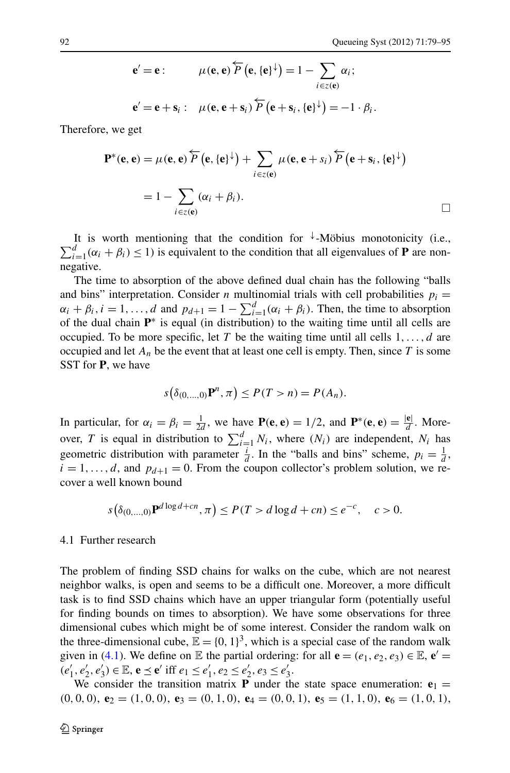$$
\mathbf{e}' = \mathbf{e} : \qquad \mu(\mathbf{e}, \mathbf{e}) \overleftarrow{P} (\mathbf{e}, \{\mathbf{e}\}^{\downarrow}) = 1 - \sum_{i \in \mathcal{I}(\mathbf{e})} \alpha_i ;
$$

$$
\mathbf{e}' = \mathbf{e} + \mathbf{s}_i : \quad \mu(\mathbf{e}, \mathbf{e} + \mathbf{s}_i) \overleftarrow{P} (\mathbf{e} + \mathbf{s}_i, \{\mathbf{e}\}^{\downarrow}) = -1 \cdot \beta_i.
$$

Therefore, we get

$$
\mathbf{P}^*(\mathbf{e}, \mathbf{e}) = \mu(\mathbf{e}, \mathbf{e}) \overleftarrow{P} (\mathbf{e}, {\{\mathbf{e}\}}^\downarrow) + \sum_{i \in \mathcal{I}(\mathbf{e})} \mu(\mathbf{e}, \mathbf{e} + s_i) \overleftarrow{P} (\mathbf{e} + \mathbf{s}_i, {\{\mathbf{e}\}}^\downarrow)
$$
  
=  $1 - \sum_{i \in \mathcal{I}(\mathbf{e})} (\alpha_i + \beta_i).$ 

It is worth mentioning that the condition for <sup>↓</sup> -Möbius monotonicity (i.e.,  $\sum_{i=1}^{d} (\alpha_i + \beta_i) \leq 1$ ) is equivalent to the condition that all eigenvalues of **P** are nonnegative.

The time to absorption of the above defined dual chain has the following "balls and bins" interpretation. Consider *n* multinomial trials with cell probabilities  $p_i =$  $\alpha_i + \beta_i$ ,  $i = 1, ..., d$  and  $p_{d+1} = 1 - \sum_{i=1}^{d} (\alpha_i + \beta_i)$ . Then, the time to absorption of the dual chain  $\mathbf{P}^*$  is equal (in distribution) to the waiting time until all cells are occupied. To be more specific, let *T* be the waiting time until all cells 1*,...,d* are occupied and let  $A_n$  be the event that at least one cell is empty. Then, since  $T$  is some SST for **P**, we have

$$
s(\delta_{(0,\ldots,0)}\mathbf{P}^n, \pi) \le P(T > n) = P(A_n).
$$

In particular, for  $\alpha_i = \beta_i = \frac{1}{2d}$ , we have  $P(\mathbf{e}, \mathbf{e}) = 1/2$ , and  $P^*(\mathbf{e}, \mathbf{e}) = \frac{|\mathbf{e}|}{d}$ . Moreover, *T* is equal in distribution to  $\sum_{i=1}^{d} N_i$ , where  $(N_i)$  are independent,  $N_i$  has geometric distribution with parameter  $\frac{i}{d}$ . In the "balls and bins" scheme,  $p_i = \frac{1}{d}$ ,  $i = 1, \ldots, d$ , and  $p_{d+1} = 0$ . From the coupon collector's problem solution, we recover a well known bound

$$
s(\delta_{(0,...,0)}\mathbf{P}^{d\log d + cn}, \pi) \le P(T > d\log d + cn) \le e^{-c}, \quad c > 0.
$$

#### 4.1 Further research

The problem of finding SSD chains for walks on the cube, which are not nearest neighbor walks, is open and seems to be a difficult one. Moreover, a more difficult task is to find SSD chains which have an upper triangular form (potentially useful for finding bounds on times to absorption). We have some observations for three dimensional cubes which might be of some interest. Consider the random walk on the three-dimensional cube,  $\mathbb{E} = \{0, 1\}^3$ , which is a special case of the random walk given in ([4.1\)](#page-10-1). We define on  $\mathbb E$  the partial ordering: for all  $\mathbf e = (e_1, e_2, e_3) \in \mathbb E$ ,  $\mathbf e' =$  $(e'_1, e'_2, e'_3) \in \mathbb{E}, \mathbf{e} \le \mathbf{e}' \text{ iff } e_1 \le e'_1, e_2 \le e'_2, e_3 \le e'_3.$ 

We consider the transition matrix **P** under the state space enumeration:  $e_1$  $(0,0,0),$   $e_2 = (1,0,0),$   $e_3 = (0,1,0),$   $e_4 = (0,0,1),$   $e_5 = (1,1,0),$   $e_6 = (1,0,1),$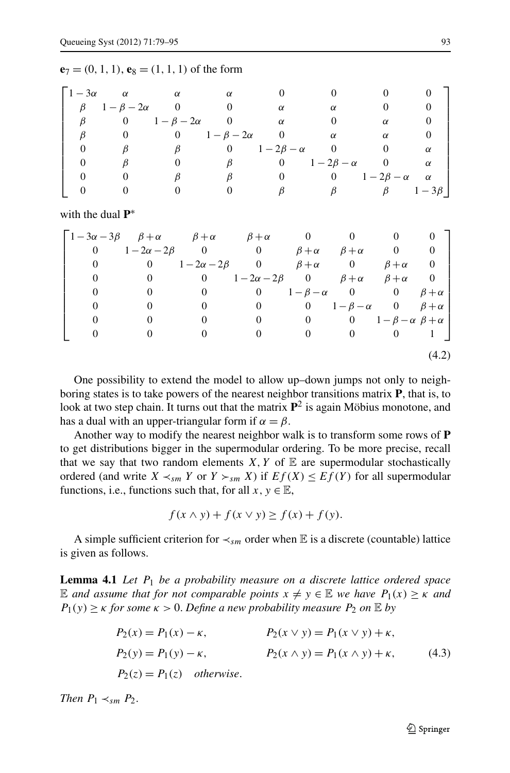|  |  |  |  |  |  |  | ${\bf e}_7 = (0, 1, 1), {\bf e}_8 = (1, 1, 1)$ of the form |  |
|--|--|--|--|--|--|--|------------------------------------------------------------|--|
|--|--|--|--|--|--|--|------------------------------------------------------------|--|

|         | $1-3\alpha$ $\alpha$        | $\alpha$              | $\alpha$              |                                      |                       |                     |                    |
|---------|-----------------------------|-----------------------|-----------------------|--------------------------------------|-----------------------|---------------------|--------------------|
|         | $\beta$ $1-\beta-2\alpha$ 0 |                       |                       | α                                    | $\alpha$              |                     |                    |
| $\beta$ |                             | 0 $1-\beta-2\alpha$ 0 |                       | $\alpha$                             |                       | $\alpha$            |                    |
|         |                             |                       | 0 $1-\beta-2\alpha$ 0 |                                      | $\alpha$              | $\alpha$            |                    |
|         |                             |                       |                       | $\beta$ 0 1 - 2 $\beta$ - $\alpha$ 0 |                       |                     |                    |
|         |                             |                       |                       |                                      | 0 $1-2\beta-\alpha$ 0 |                     | $\alpha$           |
|         |                             |                       |                       |                                      |                       | 0 $1-2\beta-\alpha$ | $\alpha$           |
|         |                             |                       |                       |                                      | $\beta$               |                     | $\beta$ $1-3\beta$ |

with the dual **P**<sup>∗</sup>

<span id="page-14-2"></span>

| $\begin{bmatrix} 1-3\alpha-3\beta & \beta+\alpha & \beta+\alpha & \beta+\alpha & 0 \end{bmatrix}$ |                                                        |                                         |                                                        |                                       |                                     |                                          |                |
|---------------------------------------------------------------------------------------------------|--------------------------------------------------------|-----------------------------------------|--------------------------------------------------------|---------------------------------------|-------------------------------------|------------------------------------------|----------------|
| $\theta$                                                                                          | $1-2\alpha-2\beta$ 0 0 $\beta+\alpha$ $\beta+\alpha$ 0 |                                         |                                                        |                                       |                                     |                                          | $\overline{0}$ |
| $\overline{0}$                                                                                    |                                                        | 0 $1-2\alpha-2\beta$ 0 $\beta+\alpha$ 0 |                                                        |                                       |                                     | $\beta + \alpha$                         | $\overline{0}$ |
| 0                                                                                                 | $\overline{0}$                                         |                                         | 0 $1-2\alpha-2\beta$ 0 $\beta+\alpha$ $\beta+\alpha$ 0 |                                       |                                     |                                          |                |
|                                                                                                   | 0                                                      | $\boldsymbol{0}$                        |                                                        | 0 $1-\beta-\alpha$ 0 0 $\beta+\alpha$ |                                     |                                          |                |
|                                                                                                   |                                                        | $\theta$                                | $\overline{0}$                                         |                                       | 0 $1-\beta-\alpha$ 0 $\beta+\alpha$ |                                          |                |
|                                                                                                   |                                                        |                                         | 0                                                      | $\mathbf{0}$                          |                                     | 0 $1-\beta-\alpha \beta+\alpha$          |                |
|                                                                                                   |                                                        |                                         |                                                        | $\mathbf{0}$                          | $\mathbf{0}$                        | $\begin{array}{ccc} & 0 & 1 \end{array}$ |                |
|                                                                                                   |                                                        |                                         |                                                        |                                       |                                     |                                          | (4.2)          |

One possibility to extend the model to allow up–down jumps not only to neighboring states is to take powers of the nearest neighbor transitions matrix **P**, that is, to look at two step chain. It turns out that the matrix  $\mathbf{P}^2$  is again Möbius monotone, and has a dual with an upper-triangular form if  $\alpha = \beta$ .

<span id="page-14-0"></span>Another way to modify the nearest neighbor walk is to transform some rows of **P** to get distributions bigger in the supermodular ordering. To be more precise, recall that we say that two random elements  $X, Y$  of  $E$  are supermodular stochastically ordered (and write  $X \prec_{sm} Y$  or  $Y \succ_{sm} X$ ) if  $Ef(X) \le Ef(Y)$  for all supermodular functions, i.e., functions such that, for all  $x, y \in \mathbb{E}$ ,

<span id="page-14-1"></span>
$$
f(x \wedge y) + f(x \vee y) \ge f(x) + f(y).
$$

A simple sufficient criterion for  $\prec_{sm}$  order when E is a discrete (countable) lattice is given as follows.

**Lemma 4.1** *Let P*<sup>1</sup> *be a probability measure on a discrete lattice ordered space* E and assume that for not comparable points  $x \neq y \in E$  we have  $P_1(x) \geq \kappa$  and  $P_1(y) \geq \kappa$  *for some*  $\kappa > 0$ . *Define a new probability measure*  $P_2$  *on*  $\mathbb{E}$  *by* 

$$
P_2(x) = P_1(x) - \kappa, \t P_2(x \vee y) = P_1(x \vee y) + \kappa, P_2(y) = P_1(y) - \kappa, \t P_2(x \wedge y) = P_1(x \wedge y) + \kappa, \t (4.3)P_2(z) = P_1(z) \t otherwise.
$$

*Then*  $P_1 \prec_{sm} P_2$ .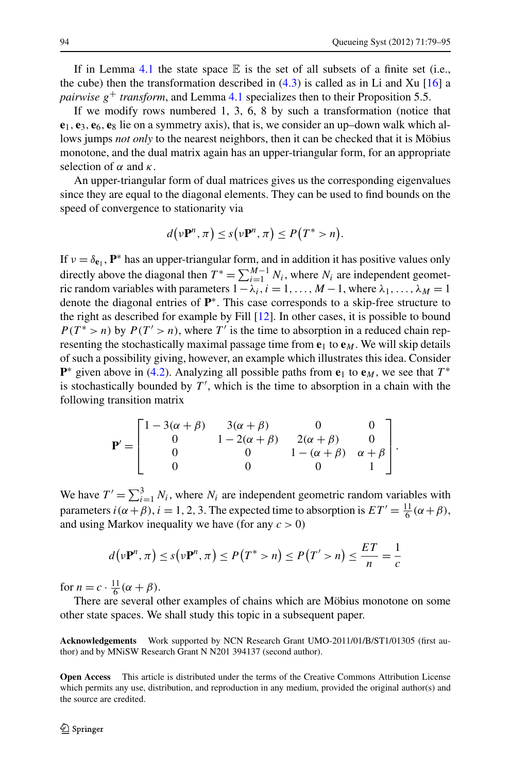If in Lemma [4.1](#page-14-0) the state space  $\mathbb E$  is the set of all subsets of a finite set (i.e., the cube) then the transformation described in  $(4.3)$  $(4.3)$  $(4.3)$  is called as in Li and Xu [[16\]](#page-16-15) a *pairwise*  $g^+$  *transform*, and Lemma [4.1](#page-14-0) specializes then to their Proposition 5.5.

If we modify rows numbered 1, 3, 6, 8 by such a transformation (notice that  $e_1$ ,  $e_3$ ,  $e_6$ ,  $e_8$  lie on a symmetry axis), that is, we consider an up–down walk which allows jumps *not only* to the nearest neighbors, then it can be checked that it is Möbius monotone, and the dual matrix again has an upper-triangular form, for an appropriate selection of  $\alpha$  and  $\kappa$ .

An upper-triangular form of dual matrices gives us the corresponding eigenvalues since they are equal to the diagonal elements. They can be used to find bounds on the speed of convergence to stationarity via

$$
d(\nu \mathbf{P}^n, \pi) \leq s(\nu \mathbf{P}^n, \pi) \leq P(T^* > n).
$$

If  $v = \delta_{e_1}$ ,  $P^*$  has an upper-triangular form, and in addition it has positive values only directly above the diagonal then  $T^* = \sum_{i=1}^{M-1} N_i$ , where  $N_i$  are independent geometric random variables with parameters  $1 - \lambda_i$ ,  $i = 1, ..., M - 1$ , where  $\lambda_1, ..., \lambda_M = 1$ denote the diagonal entries of **P**∗. This case corresponds to a skip-free structure to the right as described for example by Fill [\[12](#page-16-8)]. In other cases, it is possible to bound  $P(T^* > n)$  by  $P(T' > n)$ , where T' is the time to absorption in a reduced chain representing the stochastically maximal passage time from  $e_1$  to  $e_M$ . We will skip details of such a possibility giving, however, an example which illustrates this idea. Consider **P**<sup>\*</sup> given above in ([4.2](#page-14-2)). Analyzing all possible paths from  $e_1$  to  $e_M$ , we see that  $T^*$ is stochastically bounded by  $T'$ , which is the time to absorption in a chain with the following transition matrix

$$
\mathbf{P}' = \begin{bmatrix} 1 - 3(\alpha + \beta) & 3(\alpha + \beta) & 0 & 0 \\ 0 & 1 - 2(\alpha + \beta) & 2(\alpha + \beta) & 0 \\ 0 & 0 & 1 - (\alpha + \beta) & \alpha + \beta \\ 0 & 0 & 0 & 1 \end{bmatrix}.
$$

We have  $T' = \sum_{i=1}^{3} N_i$ , where  $N_i$  are independent geometric random variables with parameters  $i(\alpha + \beta)$ ,  $i = 1, 2, 3$ . The expected time to absorption is  $ET' = \frac{11}{6}(\alpha + \beta)$ , and using Markov inequality we have (for any *c >* 0)

$$
d(\nu \mathbf{P}^n, \pi) \le s(\nu \mathbf{P}^n, \pi) \le P(T^* > n) \le P(T' > n) \le \frac{ET}{n} = \frac{1}{c}
$$

for  $n = c \cdot \frac{11}{6} (\alpha + \beta)$ .

There are several other examples of chains which are Möbius monotone on some other state spaces. We shall study this topic in a subsequent paper.

**Acknowledgements** Work supported by NCN Research Grant UMO-2011/01/B/ST1/01305 (first author) and by MNiSW Research Grant N N201 394137 (second author).

**Open Access** This article is distributed under the terms of the Creative Commons Attribution License which permits any use, distribution, and reproduction in any medium, provided the original author(s) and the source are credited.